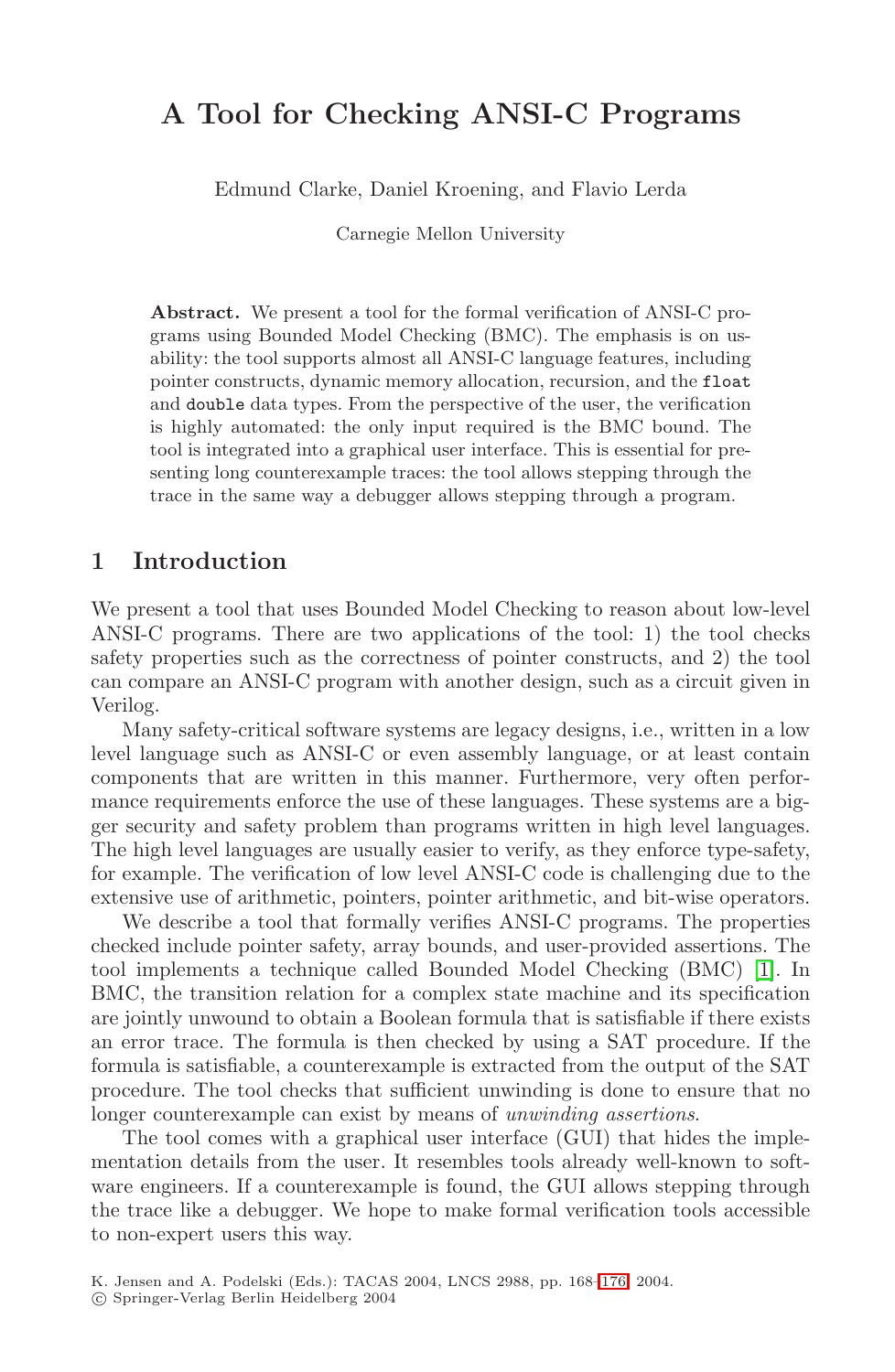# **A Tool for Checking ANSI-C Programs**

Edmund Clarke, Daniel Kroening, and Flavio Lerda

Carnegie Mellon University

**Abstract.** We present a tool for the formal verification of ANSI-C programs using Bounded Model Checking (BMC). The emphasis is on usability: the tool supports almost all ANSI-C language features, including pointer constructs, dynamic memory allocation, recursion, and the float and double data types. From the perspective of the user, the verification is highly automated: the only input required is the BMC bound. The tool is integrated into a graphical user interface. This is essential for presenting long counterexample traces: the tool allows stepping through the trace in the same way a debugger allows stepping through a program.

#### **1 Introduction**

We present a tool that uses Bounded Model Checking to reason about low-level ANSI-C programs. There are two applications of the tool: 1) the tool checks safety properties such as the correctness of pointer constructs, and 2) the tool can compare an ANSI-C program with another design, such as a circuit given in Verilog.

Many safety-critical software systems are legacy designs, i.e., written in a low level language such as ANSI-C or even assembly language, or at least contain components that are written in this manner. Furthermore, very often performance requirements enforce the use of these languages. These systems are a bigger security and safety problem than programs written in high level languages. The high level languages are usually easier to verify, as they enforce type-safety, for example. The verification of low level ANSI-C code is challenging due to the extensive use of arithmetic, pointers, pointer arithmetic, and bit-wise operators.

We describe a tool that formally verifies ANSI-C programs. The properties checked include pointer safety, array bounds, and user-provided assertions. The tool implements a technique called Bounded Model Checking (BMC) [\[1\]](#page-4-0). In BMC, the transition relation for a complex state machine and its specification are jointly unwound to obtain a Boolean formula that is satisfiable if there exists an error trace. The formula is then checked by using a SAT procedure. If the formula is satisfiable, a counterexample is extracted from the output of the SAT procedure. The tool checks that sufficient unwinding is done to ensure that no longer counterexample can exist by means of unwinding assertions.

The tool comes with a graphical user interface (GUI) that hides the implementation details from the user. It resembles tools already well-known to software engineers. If a counterexample is found, the GUI allows stepping through the trace like a debugger. We hope to make formal verification tools accessible to non-expert users this way.

K. Jensen and A. Podelski (Eds.): TACAS 2004, LNCS 2988, pp. 168[–176,](#page-7-0) 2004.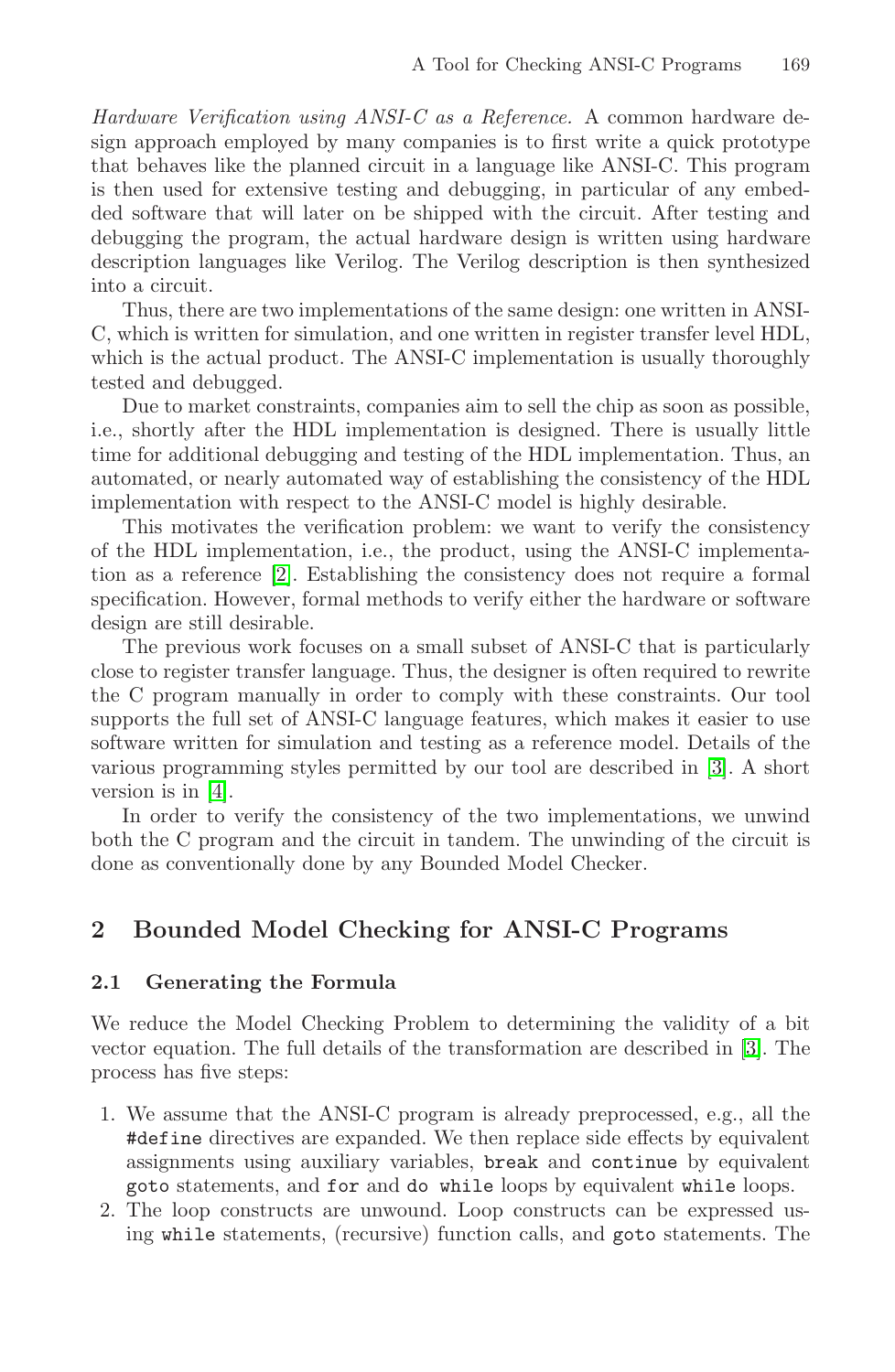Hardware Verification using ANSI-C as a Reference. A common hardware design approach employed by many companies is to first write a quick prototype that behaves like the planned circuit in a language like ANSI-C. This program is then used for extensive testing and debugging, in particular of any embedded software that will later on be shipped with the circuit. After testing and debugging the program, the actual hardware design is written using hardware description languages like Verilog. The Verilog description is then synthesized into a circuit.

Thus, there are two implementations of the same design: one written in ANSI-C, which is written for simulation, and one written in register transfer level HDL, which is the actual product. The ANSI-C implementation is usually thoroughly tested and debugged.

Due to market constraints, companies aim to sell the chip as soon as possible, i.e., shortly after the HDL implementation is designed. There is usually little time for additional debugging and testing of the HDL implementation. Thus, an automated, or nearly automated way of establishing the consistency of the HDL implementation with respect to the ANSI-C model is highly desirable.

This motivates the verification problem: we want to verify the consistency of the HDL implementation, i.e., the product, using the ANSI-C implementation as a reference [\[2\]](#page-4-0). Establishing the consistency does not require a formal specification. However, formal methods to verify either the hardware or software design are still desirable.

The previous work focuses on a small subset of ANSI-C that is particularly close to register transfer language. Thus, the designer is often required to rewrite the C program manually in order to comply with these constraints. Our tool supports the full set of ANSI-C language features, which makes it easier to use software written for simulation and testing as a reference model. Details of the various programming styles permitted by our tool are described in [\[3\]](#page-4-0). A short version is in [\[4\]](#page-4-0).

In order to verify the consistency of the two implementations, we unwind both the C program and the circuit in tandem. The unwinding of the circuit is done as conventionally done by any Bounded Model Checker.

#### **2 Bounded Model Checking for ANSI-C Programs**

#### $2.1$ **2.1 Generating the Formula**

We reduce the Model Checking Problem to determining the validity of a bit vector equation. The full details of the transformation are described in [\[3\]](#page-4-0). The process has five steps:

- 1. We assume that the ANSI-C program is already preprocessed, e.g., all the #define directives are expanded. We then replace side effects by equivalent assignments using auxiliary variables, break and continue by equivalent goto statements, and for and do while loops by equivalent while loops.
- 2. The loop constructs are unwound. Loop constructs can be expressed using while statements, (recursive) function calls, and goto statements. The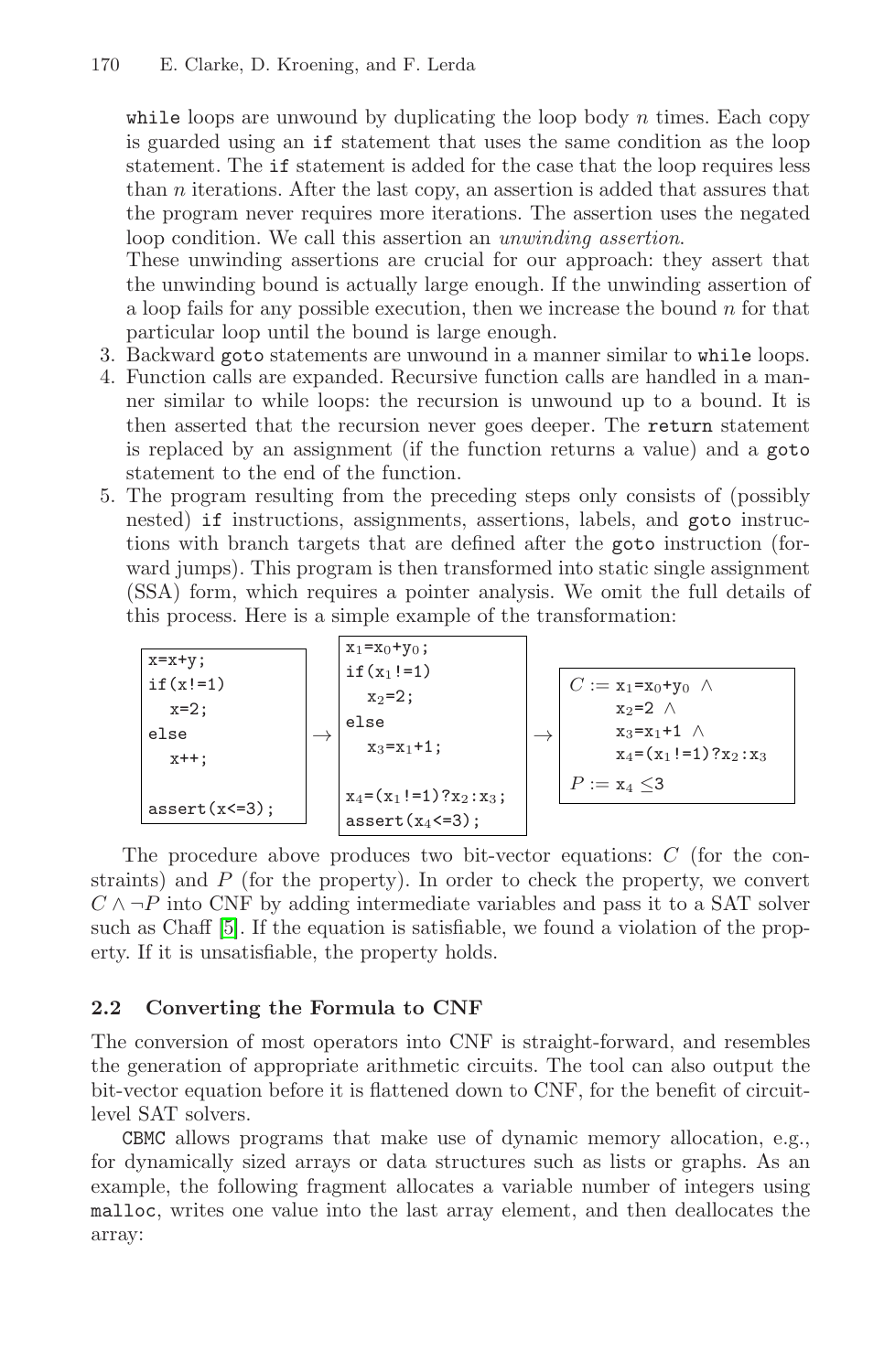while loops are unwound by duplicating the loop body  $n$  times. Each copy is guarded using an if statement that uses the same condition as the loop statement. The if statement is added for the case that the loop requires less than n iterations. After the last copy, an assertion is added that assures that the program never requires more iterations. The assertion uses the negated loop condition. We call this assertion an unwinding assertion.

These unwinding assertions are crucial for our approach: they assert that the unwinding bound is actually large enough. If the unwinding assertion of a loop fails for any possible execution, then we increase the bound  $n$  for that particular loop until the bound is large enough.

- 3. Backward goto statements are unwound in a manner similar to while loops.
- 4. Function calls are expanded. Recursive function calls are handled in a manner similar to while loops: the recursion is unwound up to a bound. It is then asserted that the recursion never goes deeper. The return statement is replaced by an assignment (if the function returns a value) and a goto statement to the end of the function.
- 5. The program resulting from the preceding steps only consists of (possibly nested) if instructions, assignments, assertions, labels, and goto instructions with branch targets that are defined after the goto instruction (forward jumps). This program is then transformed into static single assignment (SSA) form, which requires a pointer analysis. We omit the full details of this process. Here is a simple example of the transformation:

x=x+y; if(x!=1) x=2; else x++; assert(x<=3); → x1=x0+y0; if(x1!=1) x2=2; else x3=x1+1; x4=(x1!=1)?x2:x3; assert(x4<=3); → C := x1=x0+y<sup>0</sup> ∧ x2=2 ∧ x3=x1+1 ∧ x4=(x1!=1)?x2:x<sup>3</sup> P := x<sup>4</sup> ≤3

The procedure above produces two bit-vector equations: C (for the constraints) and  $P$  (for the property). In order to check the property, we convert  $C \wedge \neg P$  into CNF by adding intermediate variables and pass it to a SAT solver such as Chaff [\[5\]](#page-4-0). If the equation is satisfiable, we found a violation of the property. If it is unsatisfiable, the property holds.

# **2.2 Converting the Formula to CNF**

The conversion of most operators into CNF is straight-forward, and resembles the generation of appropriate arithmetic circuits. The tool can also output the bit-vector equation before it is flattened down to CNF, for the benefit of circuitlevel SAT solvers.

CBMC allows programs that make use of dynamic memory allocation, e.g., for dynamically sized arrays or data structures such as lists or graphs. As an example, the following fragment allocates a variable number of integers using malloc, writes one value into the last array element, and then deallocates the array: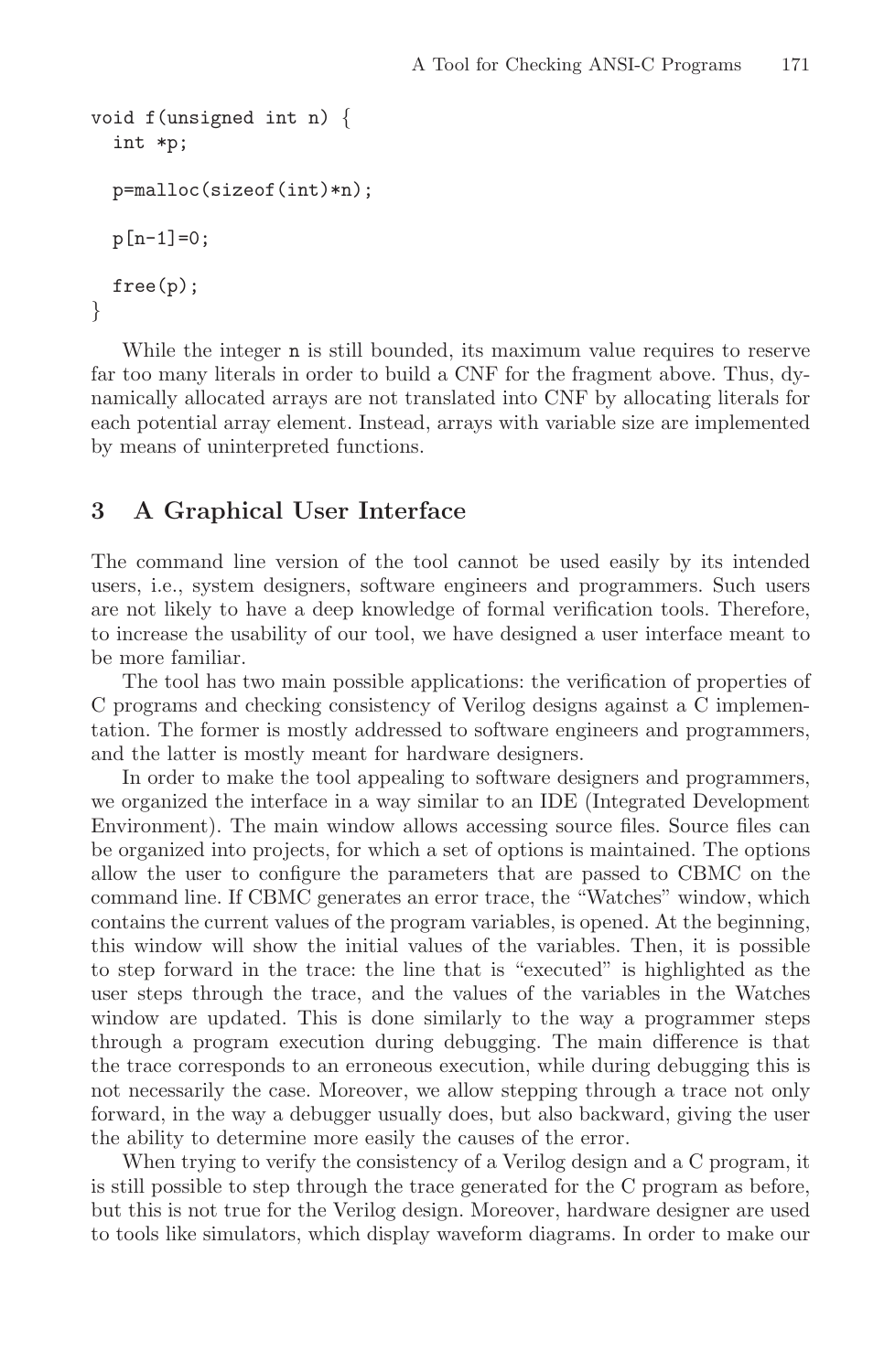```
void f(unsigned int n) {
  int *p;
 p=malloc(sizeof(int)*n);
 p[n-1]=0;free(p);
}
```
While the integer **n** is still bounded, its maximum value requires to reserve far too many literals in order to build a CNF for the fragment above. Thus, dynamically allocated arrays are not translated into CNF by allocating literals for each potential array element. Instead, arrays with variable size are implemented by means of uninterpreted functions.

#### **3 A Graphical User Interface**

The command line version of the tool cannot be used easily by its intended users, i.e., system designers, software engineers and programmers. Such users are not likely to have a deep knowledge of formal verification tools. Therefore, to increase the usability of our tool, we have designed a user interface meant to be more familiar.

The tool has two main possible applications: the verification of properties of C programs and checking consistency of Verilog designs against a C implementation. The former is mostly addressed to software engineers and programmers, and the latter is mostly meant for hardware designers.

In order to make the tool appealing to software designers and programmers, we organized the interface in a way similar to an IDE (Integrated Development Environment). The main window allows accessing source files. Source files can be organized into projects, for which a set of options is maintained. The options allow the user to configure the parameters that are passed to CBMC on the command line. If CBMC generates an error trace, the "Watches" window, which contains the current values of the program variables, is opened. At the beginning, this window will show the initial values of the variables. Then, it is possible to step forward in the trace: the line that is "executed" is highlighted as the user steps through the trace, and the values of the variables in the Watches window are updated. This is done similarly to the way a programmer steps through a program execution during debugging. The main difference is that the trace corresponds to an erroneous execution, while during debugging this is not necessarily the case. Moreover, we allow stepping through a trace not only forward, in the way a debugger usually does, but also backward, giving the user the ability to determine more easily the causes of the error.

When trying to verify the consistency of a Verilog design and a C program, it is still possible to step through the trace generated for the C program as before, but this is not true for the Verilog design. Moreover, hardware designer are used to tools like simulators, which display waveform diagrams. In order to make our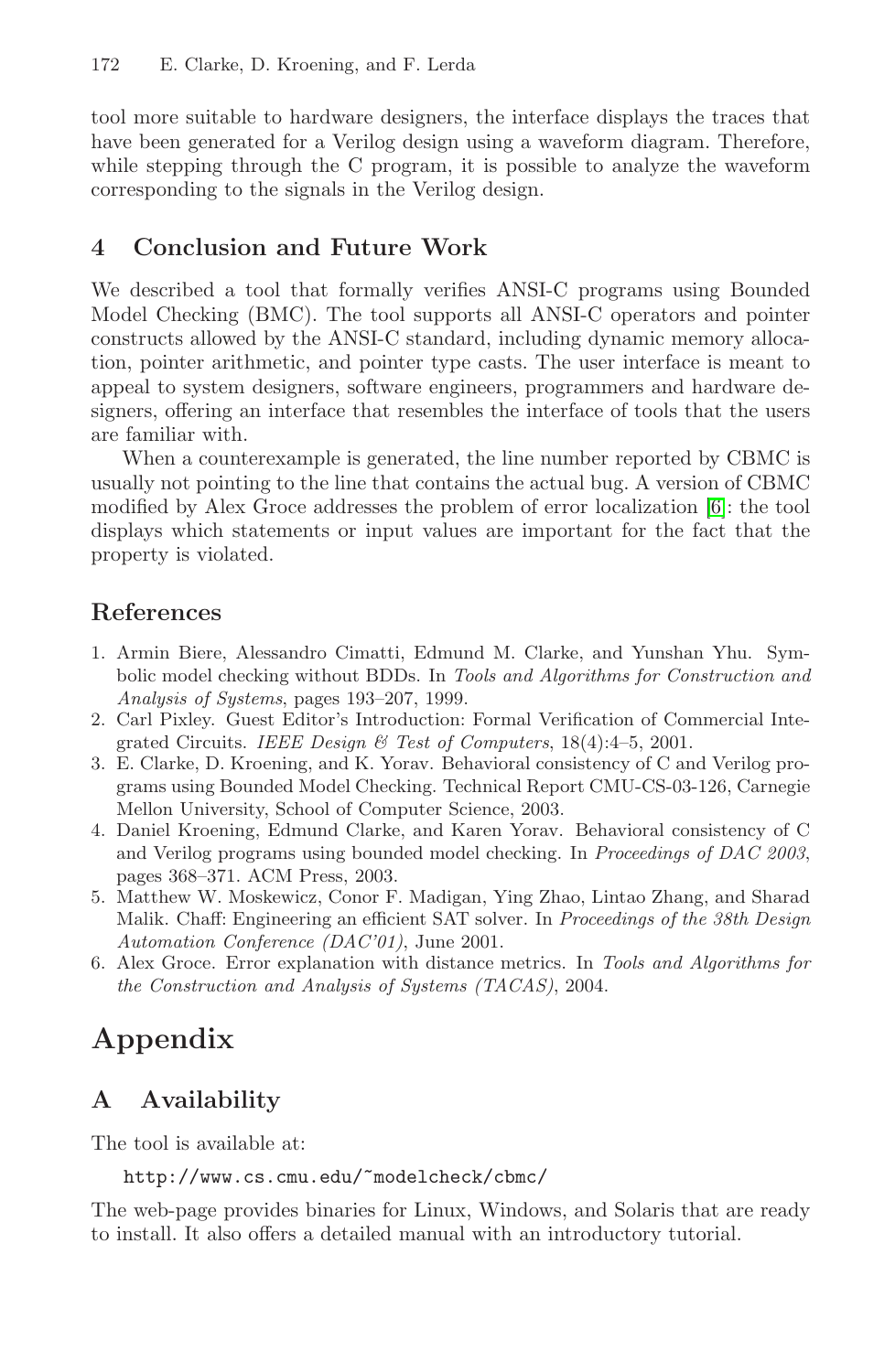<span id="page-4-0"></span>tool more suitable to hardware designers, the interface displays the traces that have been generated for a Verilog design using a waveform diagram. Therefore, while stepping through the C program, it is possible to analyze the waveform corresponding to the signals in the Verilog design.

#### **4 Conclusion and Future Work**

We described a tool that formally verifies ANSI-C programs using Bounded Model Checking (BMC). The tool supports all ANSI-C operators and pointer constructs allowed by the ANSI-C standard, including dynamic memory allocation, pointer arithmetic, and pointer type casts. The user interface is meant to appeal to system designers, software engineers, programmers and hardware designers, offering an interface that resembles the interface of tools that the users are familiar with.

When a counterexample is generated, the line number reported by CBMC is usually not pointing to the line that contains the actual bug. A version of CBMC modified by Alex Groce addresses the problem of error localization [6]: the tool displays which statements or input values are important for the fact that the property is violated.

### **References**

- 1. Armin Biere, Alessandro Cimatti, Edmund M. Clarke, and Yunshan Yhu. Symbolic model checking without BDDs. In Tools and Algorithms for Construction and Analysis of Systems, pages 193–207, 1999.
- 2. Carl Pixley. Guest Editor's Introduction: Formal Verification of Commercial Integrated Circuits. IEEE Design  $\mathcal B$  Test of Computers, 18(4):4-5, 2001.
- 3. E. Clarke, D. Kroening, and K. Yorav. Behavioral consistency of C and Verilog programs using Bounded Model Checking. Technical Report CMU-CS-03-126, Carnegie Mellon University, School of Computer Science, 2003.
- 4. Daniel Kroening, Edmund Clarke, and Karen Yorav. Behavioral consistency of C and Verilog programs using bounded model checking. In Proceedings of DAC 2003, pages 368–371. ACM Press, 2003.
- 5. Matthew W. Moskewicz, Conor F. Madigan, Ying Zhao, Lintao Zhang, and Sharad Malik. Chaff: Engineering an efficient SAT solver. In Proceedings of the 38th Design Automation Conference (DAC'01), June 2001.
- 6. Alex Groce. Error explanation with distance metrics. In Tools and Algorithms for the Construction and Analysis of Systems (TACAS), 2004.

# **Appendix**

# **A Availability**

The tool is available at:

```
http://www.cs.cmu.edu/˜modelcheck/cbmc/
```
The web-page provides binaries for Linux, Windows, and Solaris that are ready to install. It also offers a detailed manual with an introductory tutorial.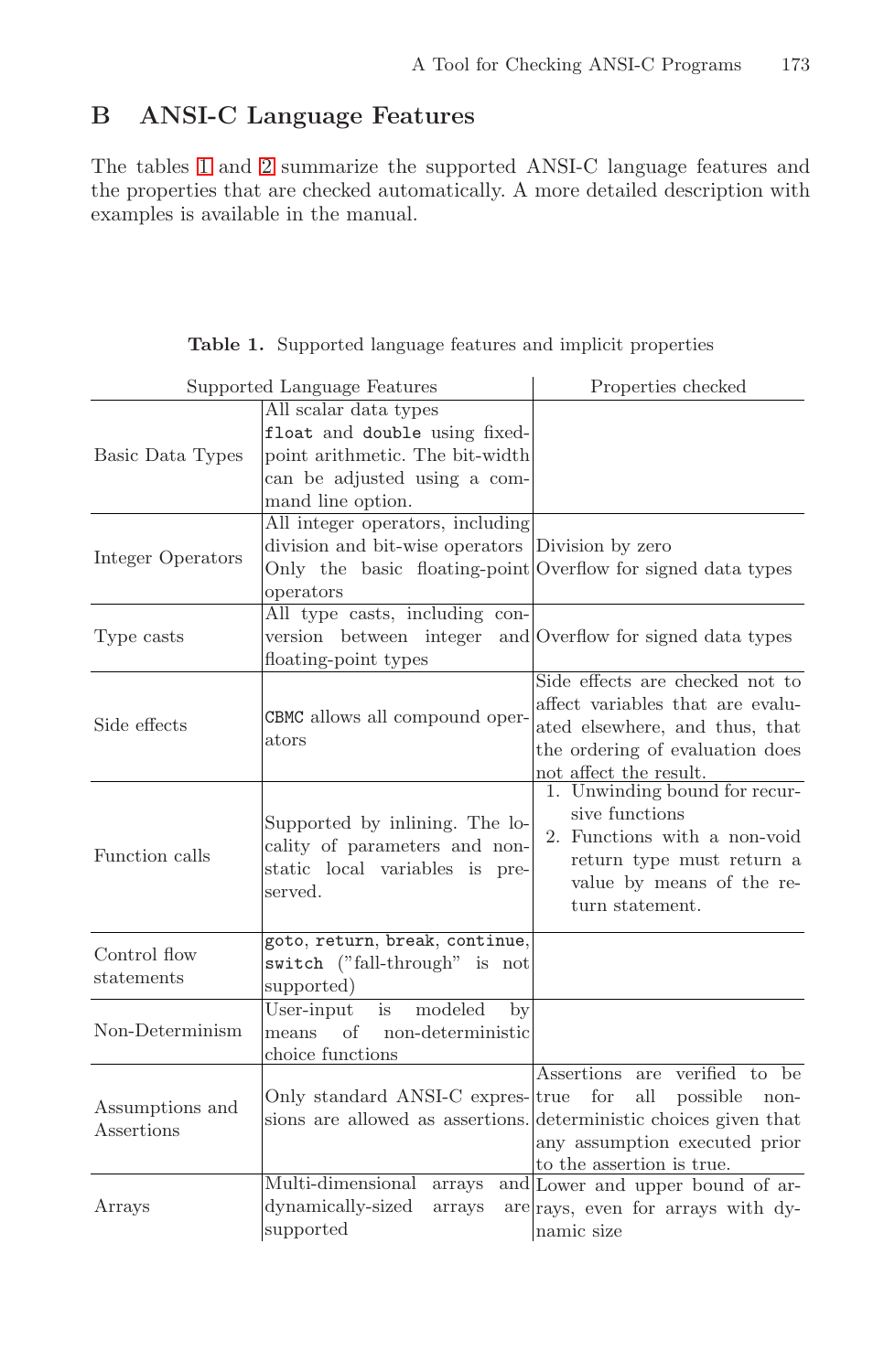## **B ANSI-C Language Features**

The tables 1 and [2](#page-8-0) summarize the supported ANSI-C language features and the properties that are checked automatically. A more detailed description with examples is available in the manual.

| <b>Table 1.</b> Supported language features and implicit properties |  |  |  |
|---------------------------------------------------------------------|--|--|--|
|                                                                     |  |  |  |

|                               | Supported Language Features                                                                                                                                       | Properties checked                                                                                                                                                                                 |  |  |
|-------------------------------|-------------------------------------------------------------------------------------------------------------------------------------------------------------------|----------------------------------------------------------------------------------------------------------------------------------------------------------------------------------------------------|--|--|
| Basic Data Types              | All scalar data types<br>float and double using fixed-<br>point arithmetic. The bit-width<br>can be adjusted using a com-<br>mand line option.                    |                                                                                                                                                                                                    |  |  |
| Integer Operators             | All integer operators, including<br>division and bit-wise operators Division by zero<br>Only the basic floating-point Overflow for signed data types<br>operators |                                                                                                                                                                                                    |  |  |
| Type casts                    | All type casts, including con-<br>version between integer<br>floating-point types                                                                                 | and Overflow for signed data types                                                                                                                                                                 |  |  |
| Side effects                  | CBMC allows all compound oper-<br>ators                                                                                                                           | Side effects are checked not to<br>affect variables that are evalu-<br>ated elsewhere, and thus, that<br>the ordering of evaluation does<br>not affect the result.                                 |  |  |
| Function calls                | Supported by inlining. The lo-<br>cality of parameters and non-<br>static local variables is pre-<br>served.                                                      | 1. Unwinding bound for recur-<br>sive functions<br>2. Functions with a non-void<br>return type must return a<br>value by means of the re-<br>turn statement.                                       |  |  |
| Control flow<br>statements    | goto, return, break, continue,<br>switch ("fall-through" is not<br>supported)                                                                                     |                                                                                                                                                                                                    |  |  |
| Non-Determinism               | $\overline{\text{User-input}}$<br>modeled<br>$\mathbf{b}$<br>is<br>means of non-deterministic<br>choice functions                                                 |                                                                                                                                                                                                    |  |  |
| Assumptions and<br>Assertions | Only standard ANSI-C expres- $ {\rm true}\>$                                                                                                                      | Assertions are verified to be<br>for<br>all<br>possible<br>non-<br>sions are allowed as assertions. deterministic choices given that<br>any assumption executed prior<br>to the assertion is true. |  |  |
| Arrays                        | Multi-dimensional<br>arrays<br>dynamically-sized<br>arrays<br>supported                                                                                           | and Lower and upper bound of ar-<br>are rays, even for arrays with dy-<br>namic size                                                                                                               |  |  |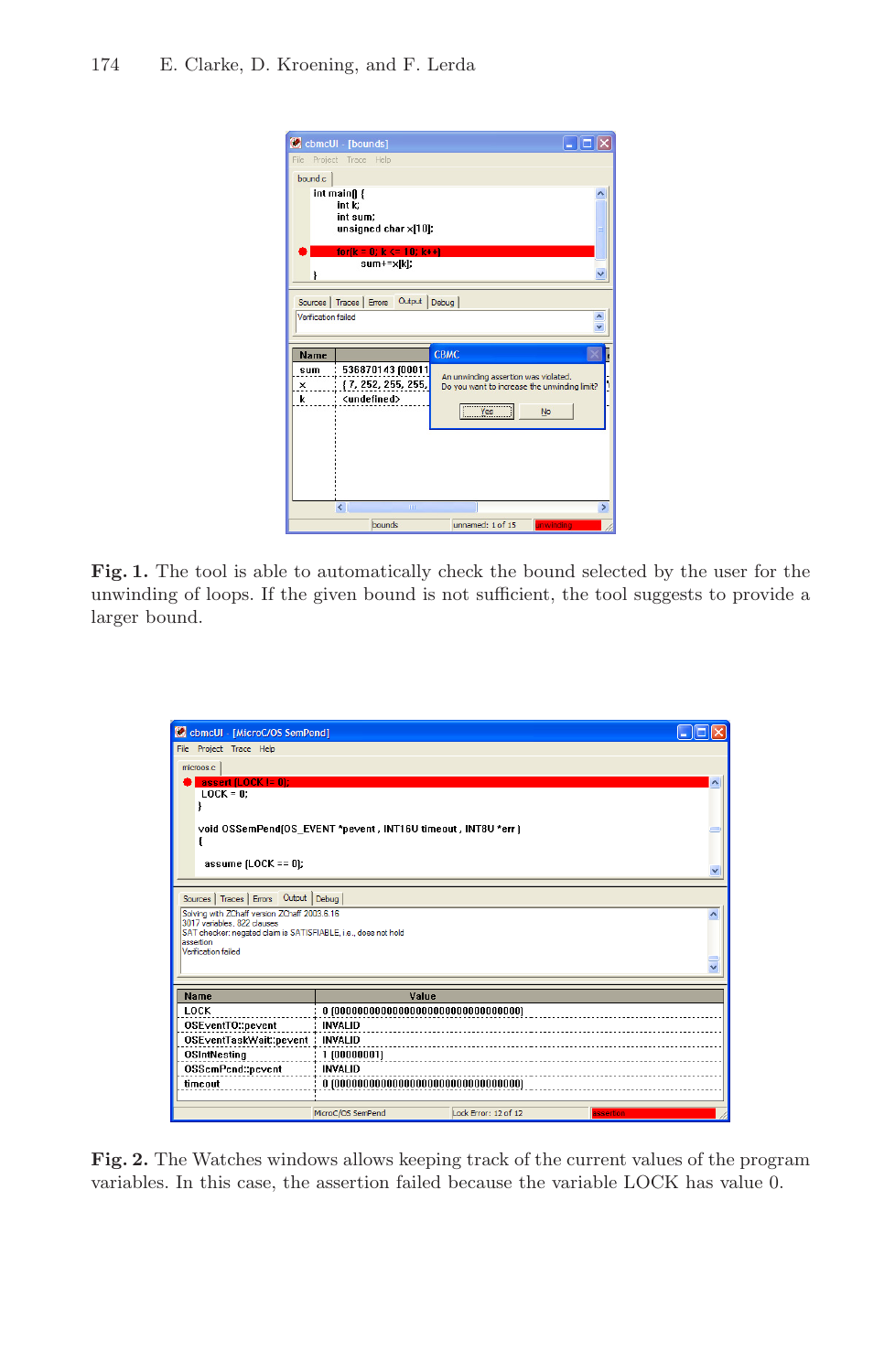

Fig. 1. The tool is able to automatically check the bound selected by the user for the unwinding of loops. If the given bound is not sufficient, the tool suggests to provide a larger bound.

| cbmcUI - [MicroC/OS SemPend]<br>$\alpha$                                                      |                   |                      |                     |  |  |
|-----------------------------------------------------------------------------------------------|-------------------|----------------------|---------------------|--|--|
| File Project Trace Help                                                                       |                   |                      |                     |  |  |
| microos.c                                                                                     |                   |                      |                     |  |  |
| assert $[LOCK] = 0$ ;                                                                         |                   |                      | $\hat{\phantom{a}}$ |  |  |
| $LOCK = 0$ :                                                                                  |                   |                      |                     |  |  |
|                                                                                               |                   |                      |                     |  |  |
| void OSSemPend(OS EVENT *pevent, INT16U timeout, INT8U *err)                                  |                   |                      |                     |  |  |
|                                                                                               |                   |                      |                     |  |  |
| assume $[LOCK == 0]$ ;                                                                        |                   |                      |                     |  |  |
|                                                                                               |                   |                      |                     |  |  |
| Sources   Traces   Errors  Output   Debug                                                     |                   |                      |                     |  |  |
| Solving with ZChaff version ZChaff 2003.6.16                                                  |                   |                      |                     |  |  |
| 3017 variables, 822 clauses<br>SAT checker: negated claim is SATISFIABLE, i.e., does not hold |                   |                      |                     |  |  |
| assertion<br>Verification failed                                                              |                   |                      |                     |  |  |
|                                                                                               |                   |                      |                     |  |  |
|                                                                                               |                   |                      |                     |  |  |
| <b>Name</b>                                                                                   | Value             |                      |                     |  |  |
| LOCK                                                                                          |                   |                      |                     |  |  |
| OSEventTO::pevent                                                                             | <b>INVALID</b>    |                      |                     |  |  |
| OSEventTaskWait::pevent : INVALID                                                             |                   |                      |                     |  |  |
| OSIntNesting<br>: 1   000000011                                                               |                   |                      |                     |  |  |
| OSSemPend: pevent<br><b>INVALID</b>                                                           |                   |                      |                     |  |  |
| timeout                                                                                       |                   |                      |                     |  |  |
|                                                                                               | MicroC/OS SemPend | Lock Error: 12 of 12 | <b>assertion</b>    |  |  |

**Fig. 2.** The Watches windows allows keeping track of the current values of the program variables. In this case, the assertion failed because the variable LOCK has value 0.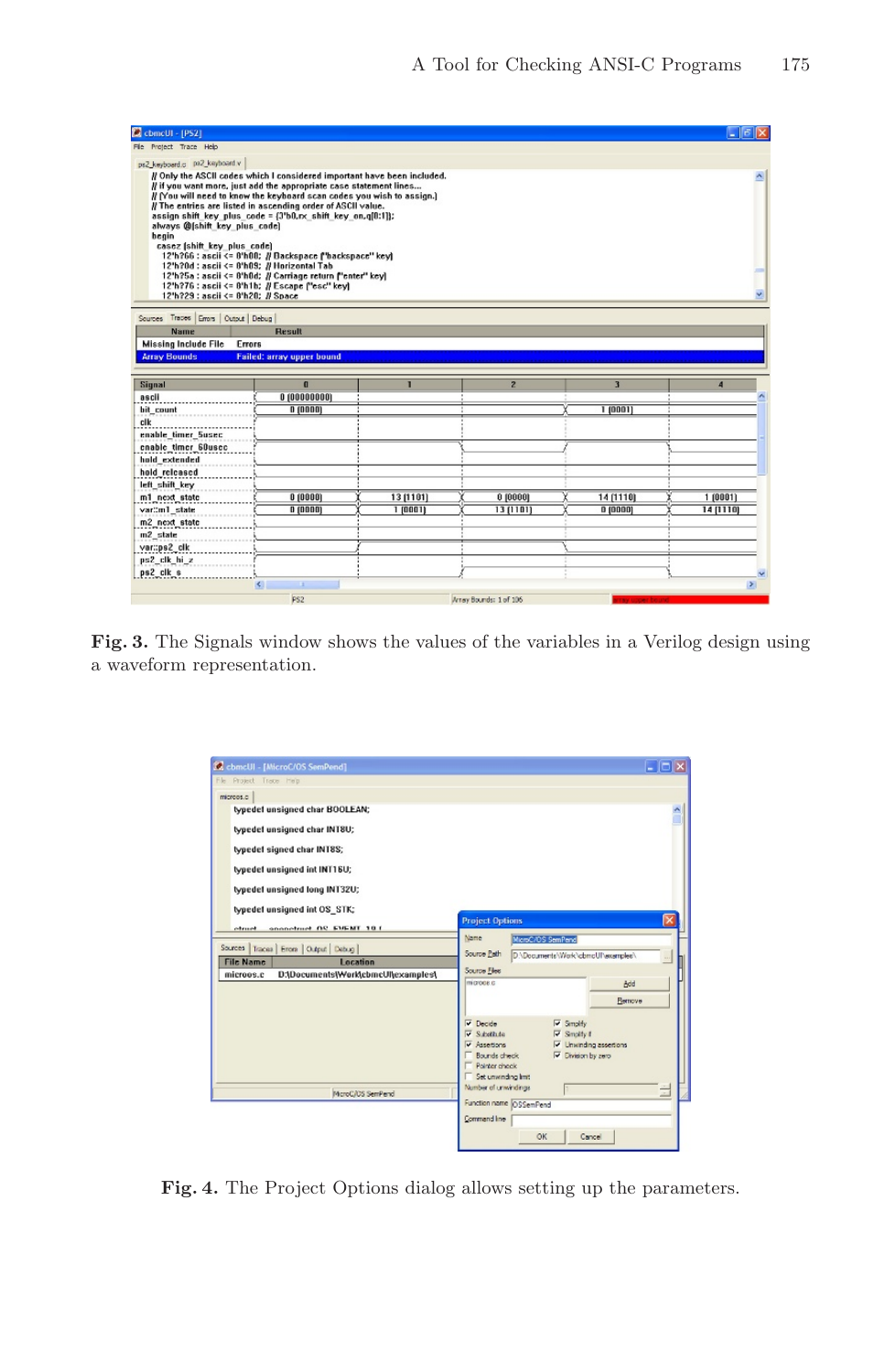<span id="page-7-0"></span>

| ComcUI - [PS2]                                                                                                                                                                                                                                                                                                                                                                                                                                                                                                                                                                                      |                                                                                                                        |           |                        |                | $ \mathbf{5}$ $\mathbf{X}$ |
|-----------------------------------------------------------------------------------------------------------------------------------------------------------------------------------------------------------------------------------------------------------------------------------------------------------------------------------------------------------------------------------------------------------------------------------------------------------------------------------------------------------------------------------------------------------------------------------------------------|------------------------------------------------------------------------------------------------------------------------|-----------|------------------------|----------------|----------------------------|
| File Protect Trace Help                                                                                                                                                                                                                                                                                                                                                                                                                                                                                                                                                                             |                                                                                                                        |           |                        |                |                            |
| ps2_keyboard.c pa2_keyboard.v                                                                                                                                                                                                                                                                                                                                                                                                                                                                                                                                                                       |                                                                                                                        |           |                        |                |                            |
| // Only the ASCII codes which I considered important have been included.<br>// if you want more, just add the appropriate case statement lines<br># (You will need to know the keyboard scan codes you wish to assign.)<br>// The entries are listed in ascending order of ASCII value.<br>assign shift key plus code = $\{3^{\prime}b0,\mathsf{rx}\}$ shift key on, q $[0:1]\}$ ;<br>always @fshift key plus code)<br>begin<br>casez (shift key plus code)<br>12'h?0d : ascii <= 8'h09; // Horizontal Tab<br>12'h?76 : ascii <= 8'h1b; // Escape f'esc" kevi<br>12'h?29 : ascii <= 8'h20; // Space | 12"h?66 : ascii <= 8"h00; // Dackspace f"backspace" keyl<br>12'h?5a : ascii <= 8'h0d; // Carriage return f'enter" key] |           |                        |                | v.                         |
| Sources Traces Errors   Output   Debug                                                                                                                                                                                                                                                                                                                                                                                                                                                                                                                                                              |                                                                                                                        |           |                        |                |                            |
| <b>Name</b>                                                                                                                                                                                                                                                                                                                                                                                                                                                                                                                                                                                         | Result                                                                                                                 |           |                        |                |                            |
| <b>Missing Include File</b><br>Errors                                                                                                                                                                                                                                                                                                                                                                                                                                                                                                                                                               |                                                                                                                        |           |                        |                |                            |
| <b>Array Bounds</b>                                                                                                                                                                                                                                                                                                                                                                                                                                                                                                                                                                                 | <b>Failed: array upper bound</b>                                                                                       |           |                        |                |                            |
|                                                                                                                                                                                                                                                                                                                                                                                                                                                                                                                                                                                                     |                                                                                                                        |           |                        |                |                            |
| Signal                                                                                                                                                                                                                                                                                                                                                                                                                                                                                                                                                                                              | $\overline{a}$                                                                                                         | п         | $\overline{2}$         | $\overline{3}$ | $\overline{4}$             |
| ascil                                                                                                                                                                                                                                                                                                                                                                                                                                                                                                                                                                                               | 0(00000000)                                                                                                            |           |                        |                |                            |
| bit count                                                                                                                                                                                                                                                                                                                                                                                                                                                                                                                                                                                           | 0(0000)                                                                                                                |           |                        | 1 [0001]       |                            |
| clk                                                                                                                                                                                                                                                                                                                                                                                                                                                                                                                                                                                                 |                                                                                                                        |           |                        |                |                            |
| enable timer Susec                                                                                                                                                                                                                                                                                                                                                                                                                                                                                                                                                                                  |                                                                                                                        |           |                        |                |                            |
| cnable timer 60usec<br>hold extended                                                                                                                                                                                                                                                                                                                                                                                                                                                                                                                                                                |                                                                                                                        |           |                        |                |                            |
| hold released                                                                                                                                                                                                                                                                                                                                                                                                                                                                                                                                                                                       |                                                                                                                        |           |                        |                |                            |
| left shift key                                                                                                                                                                                                                                                                                                                                                                                                                                                                                                                                                                                      |                                                                                                                        |           |                        |                |                            |
| m1 next state                                                                                                                                                                                                                                                                                                                                                                                                                                                                                                                                                                                       | 0 (0000)                                                                                                               | 13 (1101) | 0 (0000)               | 14 (1110)      | 1 (0001)                   |
| var::m1 state                                                                                                                                                                                                                                                                                                                                                                                                                                                                                                                                                                                       | 0(0000)                                                                                                                | 1100011   | $13$ $[1101]$          | $0$ (0000)     | 14 [1110]                  |
| m2 next state                                                                                                                                                                                                                                                                                                                                                                                                                                                                                                                                                                                       |                                                                                                                        |           |                        |                |                            |
| m2 state                                                                                                                                                                                                                                                                                                                                                                                                                                                                                                                                                                                            |                                                                                                                        |           |                        |                |                            |
| var::ps2 clk                                                                                                                                                                                                                                                                                                                                                                                                                                                                                                                                                                                        |                                                                                                                        |           |                        |                |                            |
| ps2 clk hi z                                                                                                                                                                                                                                                                                                                                                                                                                                                                                                                                                                                        |                                                                                                                        |           |                        |                |                            |
| ps2 clk s                                                                                                                                                                                                                                                                                                                                                                                                                                                                                                                                                                                           |                                                                                                                        |           |                        |                |                            |
|                                                                                                                                                                                                                                                                                                                                                                                                                                                                                                                                                                                                     | $\leq$<br>- 1                                                                                                          |           |                        |                | $\rightarrow$              |
|                                                                                                                                                                                                                                                                                                                                                                                                                                                                                                                                                                                                     | PS <sub>2</sub>                                                                                                        |           | Array Bounds: 1 of 106 |                |                            |

**Fig. 3.** The Signals window shows the values of the variables in a Verilog design using a waveform representation.

| C cbmcUl - [MicroC/OS SemPend]<br>Fle Project Trace He'p                                                                                                                                                                                                                                                |                                                                                                                                                                                                                                                                                                                                        | $\Box$ o $\mathbf{x}$ |
|---------------------------------------------------------------------------------------------------------------------------------------------------------------------------------------------------------------------------------------------------------------------------------------------------------|----------------------------------------------------------------------------------------------------------------------------------------------------------------------------------------------------------------------------------------------------------------------------------------------------------------------------------------|-----------------------|
| microos.c<br>typedef unsigned char BOOLEAN;<br>typedef unsigned char INT8U;<br>typedef signed char INT8S;<br>typedef unsigned int INT16U;<br>typedef unsigned long INT32U;<br>typedef unsigned int OS STK;<br>ononofrunt OC EVENT 10.1<br><b>Sternet</b><br>Traces Errors   Output   Debug  <br>Sources | <b>Project Options</b><br><b>Name</b><br>MicroC/OS SemPend                                                                                                                                                                                                                                                                             |                       |
| Location<br><b>File Name</b><br>D:\Documents\Work\cbmcUl\examples\<br>microos.c                                                                                                                                                                                                                         | Source Path<br>D.\Documents\Work\cbmcUl\examples\<br>Source Files<br>microes c<br>Add<br>Remove                                                                                                                                                                                                                                        |                       |
| McroC/OS SemPend                                                                                                                                                                                                                                                                                        | $\nabla$ Smolty<br>$\overline{\mathbf{v}}$ Decide<br>$\overline{\mathbf{v}}$ S. <i>i</i> bdit.de<br>$\nabla$ Smolty 1<br>V Unwinding assertions<br>$\overline{\mathsf{v}}$ Assertions<br>Bounds check<br>V Division by zero<br>Pointer check<br>Set unwinding limit<br>Number of unwindings<br>Function name OSSemPend<br>Command line | Ė                     |

**Fig. 4.** The Project Options dialog allows setting up the parameters.